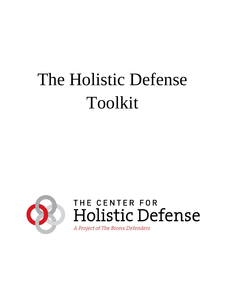# The Holistic Defense Toolkit



# THE CENTER FOR Holistic Defense

A Project of The Bronx Defenders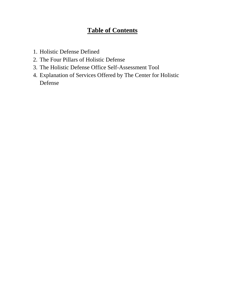# **Table of Contents**

- 1. Holistic Defense Defined
- 2. The Four Pillars of Holistic Defense
- 3. The Holistic Defense Office Self-Assessment Tool
- 4. Explanation of Services Offered by The Center for Holistic Defense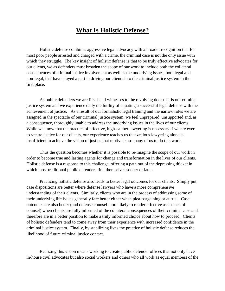### **What Is Holistic Defense?**

Holistic defense combines aggressive legal advocacy with a broader recognition that for most poor people arrested and charged with a crime, the criminal case is not the only issue with which they struggle. The key insight of holistic defense is that to be truly effective advocates for our clients, we as defenders must broaden the scope of our work to include both the collateral consequences of criminal justice involvement as well as the underlying issues, both legal and non-legal, that have played a part in driving our clients into the criminal justice system in the first place.

As public defenders we are first-hand witnesses to the revolving door that is our criminal justice system and we experience daily the futility of equating a successful legal defense with the achievement of justice. As a result of our formalistic legal training and the narrow roles we are assigned in the spectacle of our criminal justice system, we feel unprepared, unsupported and, as a consequence, thoroughly unable to address the underlying issues in the lives of our clients. While we know that the practice of effective, high-caliber lawyering is necessary if we are ever to secure justice for our clients, our experience teaches us that zealous lawyering alone is insufficient to achieve the vision of justice that motivates so many of us to do this work.

Thus the question becomes whether it is possible to re-imagine the scope of our work in order to become true and lasting agents for change and transformation in the lives of our clients. Holistic defense is a response to this challenge, offering a path out of the depressing thicket in which most traditional public defenders find themselves sooner or later.

Practicing holistic defense also leads to better legal outcomes for our clients. Simply put, case dispositions are better where defense lawyers who have a more comprehensive understanding of their clients. Similarly, clients who are in the process of addressing some of their underlying life issues generally fare better either when plea-bargaining or at trial. Case outcomes are also better (and defense counsel more likely to render effective assistance of counsel) when clients are fully informed of the collateral consequences of their criminal case and therefore are in a better position to make a truly informed choice about how to proceed. Clients of holistic defenders tend to come away from their experience with increased confidence in the criminal justice system. Finally, by stabilizing lives the practice of holistic defense reduces the likelihood of future criminal justice contact.

Realizing this vision means working to create public defender offices that not only have in-house civil advocates but also social workers and others who all work as equal members of the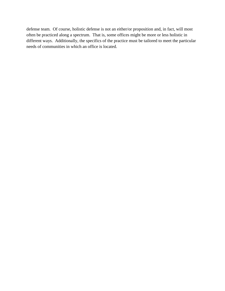defense team. Of course, holistic defense is not an either/or proposition and, in fact, will most often be practiced along a spectrum. That is, some offices might be more or less holistic in different ways. Additionally, the specifics of the practice must be tailored to meet the particular needs of communities in which an office is located.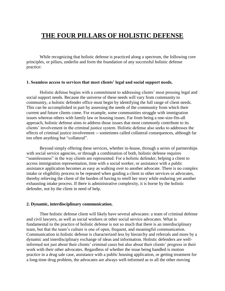## **THE FOUR PILLARS OF HOLISTIC DEFENSE**

While recognizing that holistic defense is practiced along a spectrum, the following core principles, or pillars, underlie and form the foundation of any successful holistic defense practice:

#### **1. Seamless access to services that meet clients' legal and social support needs.**

Holistic defense begins with a commitment to addressing clients' most pressing legal and social support needs. Because the universe of these needs will vary from community to community, a holistic defender office must begin by identifying the full range of client needs. This can be accomplished in part by assessing the needs of the community from which their current and future clients come. For example, some communities struggle with immigration issues whereas others with family law or housing issues. Far from being a one-size-fits-all approach, holistic defense aims to address those issues that most commonly contribute to its clients' involvement in the criminal justice system. Holistic defense also seeks to addresses the effects of criminal justice involvement -- sometimes called collateral consequences, although far too often anything but "collateral".

Beyond simply offering these services, whether in-house, through a series of partnerships with social service agencies, or through a combination of both, holistic defense requires "seamlessness" in the way clients are represented. For a holistic defender, helping a client to access immigration representation, time with a social worker, or assistance with a public assistance application becomes as easy as walking over to another advocate. There is no complex intake or eligibility process to be repeated when guiding a client to other services or advocates, thereby relieving the client of the burden of having to retell her story while enduring yet another exhausting intake process. If there is administrative complexity, it is borne by the holistic defender, not by the client in need of help.

#### **2. Dynamic, interdisciplinary communication.**

Thee holistic defense client will likely have several advocates: a team of criminal defense and civil lawyers, as well as social workers or other social service advocates. What is fundamental to the practice of holistic defense is not so much that there is an interdisciplinary team, but that the team's culture is one of open, frequent, and meaningful communication. Communication in holistic defense is characterized less by hierarchy and referrals and more by a dynamic and interdisciplinary exchange of ideas and information. Holistic defenders are wellinformed not just about their clients' criminal cases but also about their clients' progress in their work with their other advocates. Regardless of whether the issue being handled is motion practice in a drug sale case, assistance with a public housing application, or getting treatment for a long-time drug problem, the advocates are always well-informed as to all the other moving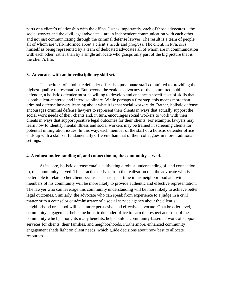parts of a client's relationship with the office. Just as importantly, each of those advocates – the social worker and the civil legal advocate – are in independent communication with each other – and not just communicating through the criminal defense lawyer. The result is a team of people all of whom are well-informed about a client's needs and progress. The client, in turn, sees himself as being represented by a team of dedicated advocates all of whom are in communication with each other, rather than by a single advocate who grasps only part of the big picture that is the client's life.

#### **3. Advocates with an interdisciplinary skill set.**

The bedrock of a holistic defender office is a passionate staff committed to providing the highest-quality representation. But beyond the zealous advocacy of the committed public defender, a holistic defender must be willing to develop and enhance a specific set of skills that is both client-centered and interdisciplinary. While perhaps a first step, this means more than criminal defense lawyers learning about what it is that social workers do. Rather, holistic defense encourages criminal defense lawyers to represent their clients in ways that actually support the social work needs of their clients and, in turn, encourages social workers to work with their clients in ways that support positive legal outcomes for their clients. For example, lawyers may learn how to identify mental illness and social workers may be trained in screening clients for potential immigration issues. In this way, each member of the staff of a holistic defender office ends up with a skill set fundamentally different than that of their colleagues in more traditional settings.

#### **4. A robust understanding of, and connection to, the community served.**

At its core, holistic defense entails cultivating a robust understanding of, and connection to, the community served. This practice derives from the realization that the advocate who is better able to relate to her client because she has spent time in his neighborhood and with members of his community will be more likely to provide authentic and effective representation. The lawyer who can leverage this community understanding will be more likely to achieve better legal outcomes. Similarly, the advocate who can speak from experience to a judge in a civil matter or to a counselor or administrator of a social service agency about the client's neighborhood or school will be a more persuasive and effective advocate. On a broader level, community engagement helps the holistic defender office to earn the respect and trust of the community which, among its many benefits, helps build a community-based network of support services for clients, their families, and neighborhoods. Furthermore, enhanced community engagement sheds light on client needs, which guide decisions about how best to allocate resources.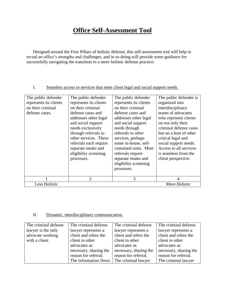# **Office Self-Assessment Tool**

Designed around the Four Pillars of holistic defense, this self-assessment tool will help to reveal an office's strengths and challenges, and in so doing will provide some guidance for successfully navigating the transition to a more holistic defense practice:

#### I. Seamless access to services that meet client legal and social support needs.

| The public defender<br>represents its clients<br>on their criminal<br>defense cases. | The public defender<br>represents its clients<br>on their criminal<br>defense cases and<br>addresses other legal<br>and social support<br>needs exclusively<br>through referrals to<br>other services. These<br>referrals each require<br>separate intake and<br>eligibility screening<br>processes. | The public defender<br>represents its clients<br>on their criminal<br>defense cases and<br>addresses other legal<br>and social support<br>needs through<br>referrals to other<br>services, perhaps<br>some in-house, self-<br>contained units. Most<br>referrals require<br>separate intake and<br>eligibility screening<br>processes. | The public defender is<br>organized into<br>interdisciplinary<br>teams of advocates<br>who represent clients<br>on not only their<br>criminal defense cases<br>but on a host of other<br>critical legal and<br>social support needs.<br>Access to all services<br>is seamless from the<br>client perspective. |
|--------------------------------------------------------------------------------------|------------------------------------------------------------------------------------------------------------------------------------------------------------------------------------------------------------------------------------------------------------------------------------------------------|----------------------------------------------------------------------------------------------------------------------------------------------------------------------------------------------------------------------------------------------------------------------------------------------------------------------------------------|---------------------------------------------------------------------------------------------------------------------------------------------------------------------------------------------------------------------------------------------------------------------------------------------------------------|
|                                                                                      | $\mathcal{D}_{\mathcal{L}}$                                                                                                                                                                                                                                                                          | 3                                                                                                                                                                                                                                                                                                                                      | $\overline{4}$                                                                                                                                                                                                                                                                                                |
| Less Holistic                                                                        |                                                                                                                                                                                                                                                                                                      |                                                                                                                                                                                                                                                                                                                                        | More Holistic                                                                                                                                                                                                                                                                                                 |

#### II. Dynamic, interdisciplinary communication.

| The criminal defense | The criminal defense   | The criminal defense   | The criminal defense   |
|----------------------|------------------------|------------------------|------------------------|
| lawyer is the only   | lawyer represents a    | lawyer represents a    | lawyer represents a    |
| advocate working     | client and refers the  | client and refers the  | client and refers the  |
| with a client.       | client to other        | client to other        | client to other        |
|                      | advocates as           | advocates as           | advocates as           |
|                      | necessary, sharing the | necessary, sharing the | necessary, sharing the |
|                      | reason for referral.   | reason for referral.   | reason for referral.   |
|                      | The information flows  | The criminal lawyer    | The criminal lawyer    |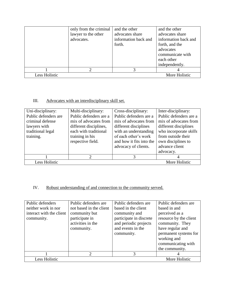|                      | only from the criminal<br>lawyer to the other<br>advocates. | and the other<br>advocates share<br>information back and<br>forth. | and the other<br>advocates share<br>information back and<br>forth, and the<br>advocates<br>communicate with<br>each other<br>independently. |
|----------------------|-------------------------------------------------------------|--------------------------------------------------------------------|---------------------------------------------------------------------------------------------------------------------------------------------|
|                      |                                                             |                                                                    |                                                                                                                                             |
| <b>Less Holistic</b> |                                                             |                                                                    | More Holistic                                                                                                                               |

#### III. Advocates with an interdisciplinary skill set.

| Uni-disciplinary:    | Multi-disciplinary:         | Cross-disciplinary:      | Inter-disciplinary:    |
|----------------------|-----------------------------|--------------------------|------------------------|
| Public defenders are | Public defenders are a      | Public defenders are a   | Public defenders are a |
| criminal defense     | mix of advocates from       | mix of advocates from    | mix of advocates from  |
| lawyers with         | different disciplines,      | different disciplines    | different disciplines  |
| traditional legal    | each with traditional       | with an understanding    | who incorporate skills |
| training.            | training in his             | of each other's work     | from outside their     |
|                      | respective field.           | and how it fits into the | own disciplines to     |
|                      |                             | advocacy of clients.     | advance client         |
|                      |                             |                          | advocacy.              |
|                      | $\mathcal{D}_{\mathcal{L}}$ | 3                        |                        |
| Less Holistic        |                             |                          | More Holistic          |

#### IV. Robust understanding of and connection to the community served.

| Public defenders         | Public defenders are    | Public defenders are    | Public defenders are   |
|--------------------------|-------------------------|-------------------------|------------------------|
| neither work in nor      | not based in the client | based in the client     | based in and           |
| interact with the client | community but           | community and           | perceived as a         |
| community.               | participate in          | participate in discrete | resource by the client |
|                          | activities in the       | and periodic projects   | community. They        |
|                          | community.              | and events in the       | have regular and       |
|                          |                         | community.              | permanent systems for  |
|                          |                         |                         | working and            |
|                          |                         |                         | communicating with     |
|                          |                         |                         | the community.         |
|                          | 2                       | 3                       |                        |
| Less Holistic            |                         |                         | More Holistic          |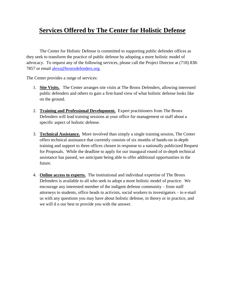# **Services Offered by The Center for Holistic Defense**

The Center for Holistic Defense is committed to supporting public defender offices as they seek to transform the practice of public defense by adopting a more holistic model of advocacy. To request any of the following services, please call the Project Director at (718) 838 7857 or email [alexs@bronxdefenders.org.](mailto:alexs@bronxdefenders.org)

The Center provides a range of services:

- 1. **Site Visits.** The Center arranges site visits at The Bronx Defenders, allowing interested public defenders and others to gain a first-hand view of what holistic defense looks like on the ground.
- 2. **Training and Professional Development.** Expert practitioners from The Bronx Defenders will lead training sessions at your office for management or staff about a specific aspect of holistic defense.
- 3. **Technical Assistance.** More involved than simply a single training session, The Center offers technical assistance that currently consists of six months of hands-on in-depth training and support to three offices chosen in response to a nationally publicized Request for Proposals. While the deadline to apply for our inaugural round of in-depth technical assistance has passed, we anticipate being able to offer additional opportunities in the future.
- 4. **Online access to experts.** The institutional and individual expertise of The Bronx Defenders is available to all who seek to adopt a more holistic model of practice. We encourage any interested member of the indigent defense community – from staff attorneys to students, office heads to activists, social workers to investigators – to e-mail us with any questions you may have about holistic defense, in theory or in practice, and we will d o our best to provide you with the answer.